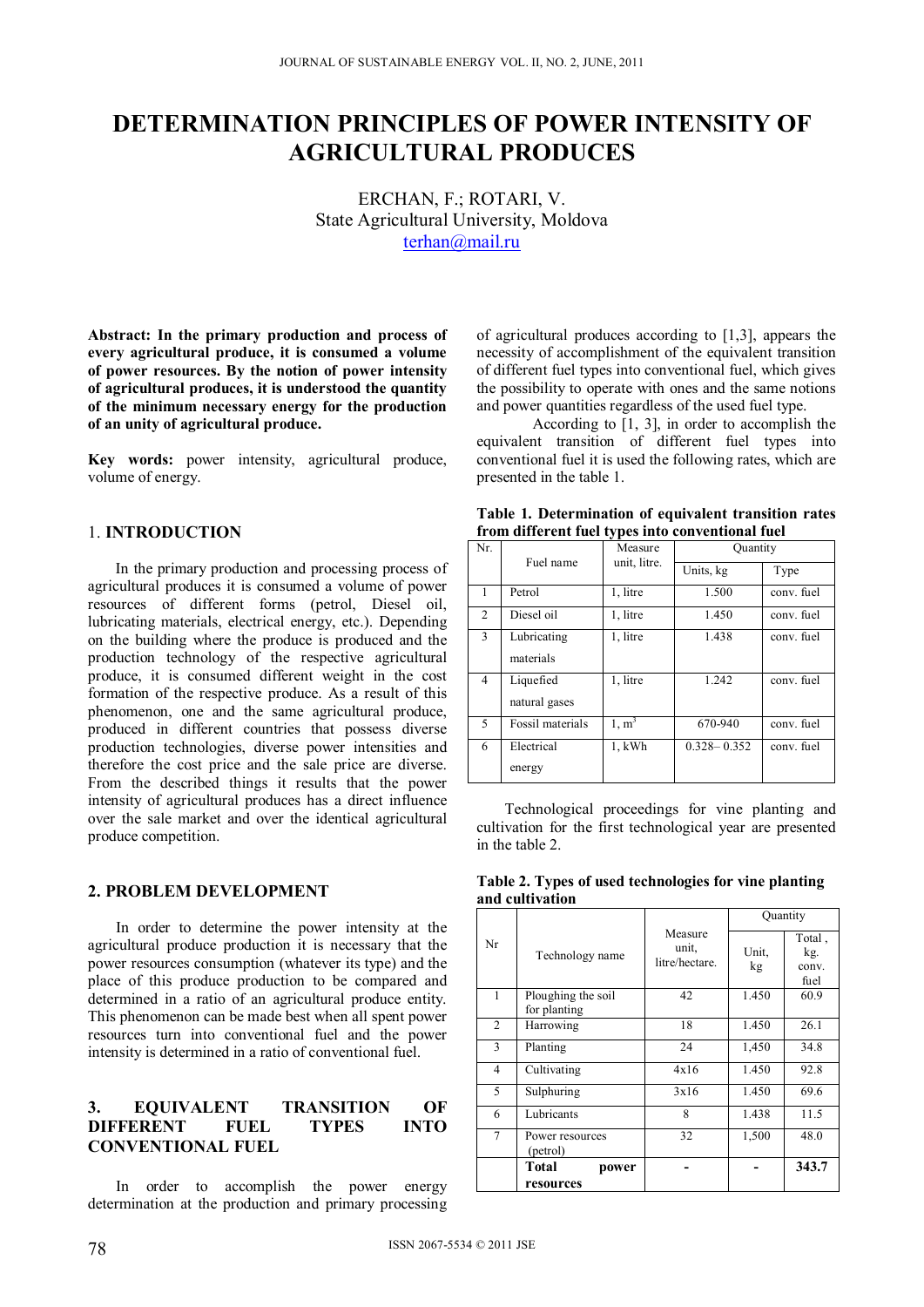# **DETERMINATION PRINCIPLES OF POWER INTENSITY OF AGRICULTURAL PRODUCES**

ЕRCHAN, F.; ROTARI, V. State Agricultural University, Moldova terhan@mail.ru

**Abstract: In the primary production and process of every agricultural produce, it is consumed a volume of power resources. By the notion of power intensity of agricultural produces, it is understood the quantity of the minimum necessary energy for the production of an unity of agricultural produce.** 

**Key words:** power intensity, agricultural produce, volume of energy.

## 1. **INTRODUCTION**

In the primary production and processing process of agricultural produces it is consumed a volume of power resources of different forms (petrol, Diesel oil, lubricating materials, electrical energy, etc.). Depending on the building where the produce is produced and the production technology of the respective agricultural produce, it is consumed different weight in the cost formation of the respective produce. As a result of this phenomenon, one and the same agricultural produce, produced in different countries that possess diverse production technologies, diverse power intensities and therefore the cost price and the sale price are diverse. From the described things it results that the power intensity of agricultural produces has a direct influence over the sale market and over the identical agricultural produce competition.

## **2. PROBLEM DEVELOPMENT**

In order to determine the power intensity at the agricultural produce production it is necessary that the power resources consumption (whatever its type) and the place of this produce production to be compared and determined in a ratio of an agricultural produce entity. This phenomenon can be made best when all spent power resources turn into conventional fuel and the power intensity is determined in a ratio of conventional fuel.

## **3. EQUIVALENT TRANSITION OF DIFFERENT FUEL TYPES INTO CONVENTIONAL FUEL**

In order to accomplish the power energy determination at the production and primary processing

of agricultural produces according to [1,3], appears the necessity of accomplishment of the equivalent transition of different fuel types into conventional fuel, which gives the possibility to operate with ones and the same notions and power quantities regardless of the used fuel type.

 According to [1, 3], in order to accomplish the equivalent transition of different fuel types into conventional fuel it is used the following rates, which are presented in the table 1.

|                                                  | Table 1. Determination of equivalent transition rates |  |
|--------------------------------------------------|-------------------------------------------------------|--|
| from different fuel types into conventional fuel |                                                       |  |

| Nr.            |                            | $\mathbf{r}$<br>Measure | Quantity        |            |
|----------------|----------------------------|-------------------------|-----------------|------------|
|                | Fuel name                  | unit, litre.            | Units, kg       | Type       |
| 1              | Petrol                     | 1, litre                | 1.500           | conv. fuel |
| 2              | Diesel oil                 | 1, litre                | 1.450           | conv. fuel |
| 3              | Lubricating<br>materials   | 1, litre                | 1.438           | conv. fuel |
| $\overline{4}$ | Liquefied<br>natural gases | 1, litre                | 1.242           | conv. fuel |
| 5              | Fossil materials           | 1, m <sup>3</sup>       | 670-940         | conv. fuel |
| 6              | Electrical<br>energy       | $1$ , $kWh$             | $0.328 - 0.352$ | conv. fuel |

Technological proceedings for vine planting and cultivation for the first technological year are presented in the table 2.

| Table 2. Types of used technologies for vine planting |  |  |  |
|-------------------------------------------------------|--|--|--|
| and cultivation                                       |  |  |  |

|    |                                    |                                    | Quantity    |                                |  |
|----|------------------------------------|------------------------------------|-------------|--------------------------------|--|
| Nr | Technology name                    | Measure<br>unit,<br>litre/hectare. | Unit.<br>kg | Total,<br>kg.<br>conv.<br>fuel |  |
| 1  | Ploughing the soil<br>for planting | 42                                 | 1.450       | 60.9                           |  |
| 2  | Harrowing                          | 18                                 | 1.450       | 26.1                           |  |
| 3  | Planting                           | 24                                 | 1,450       | 34.8                           |  |
| 4  | Cultivating                        | 4x16                               | 1.450       | 92.8                           |  |
| 5  | Sulphuring                         | 3x16                               | 1.450       | 69.6                           |  |
| 6  | Lubricants                         | 8                                  | 1.438       | 11.5                           |  |
| 7  | Power resources<br>(petrol)        | 32                                 | 1,500       | 48.0                           |  |
|    | Total<br>power<br>resources        |                                    |             | 343.7                          |  |